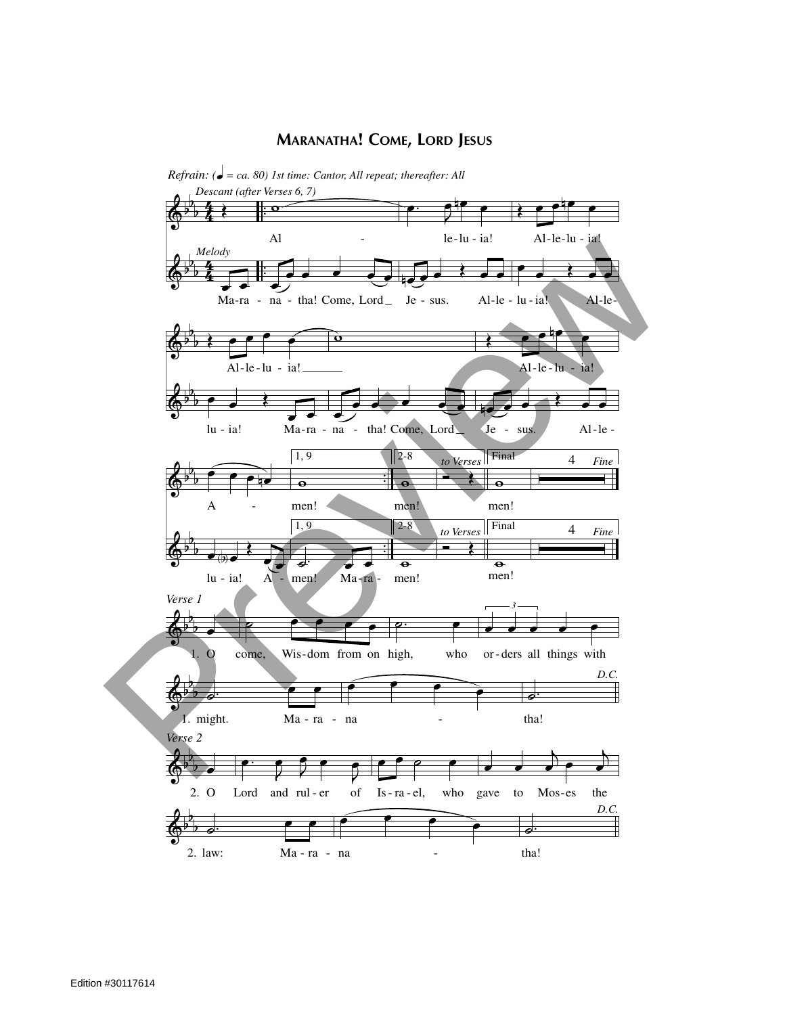## **MARANATHA! COME, LORD JESUS**